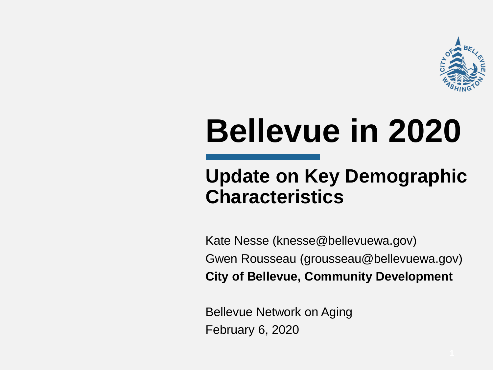

# **Bellevue in 2020**

#### **Update on Key Demographic Characteristics**

Kate Nesse (knesse@bellevuewa.gov) Gwen Rousseau (grousseau@bellevuewa.gov) **City of Bellevue, Community Development**

Bellevue Network on Aging February 6, 2020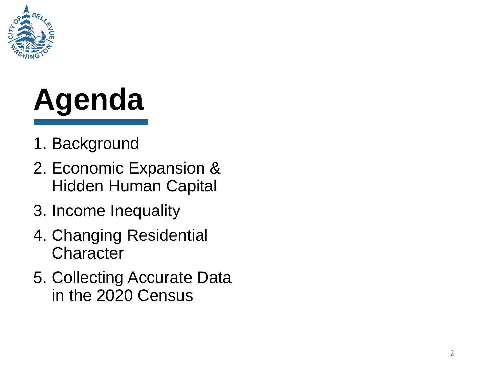

# **Agenda**

- 1. Background
- 2. Economic Expansion & Hidden Human Capital
- 3. Income Inequality
- 4. Changing Residential **Character**
- 5. Collecting Accurate Data in the 2020 Census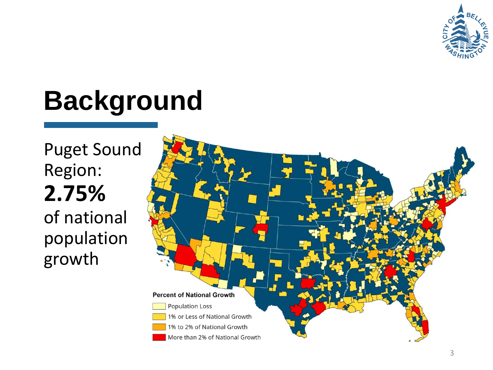

## **Background**

Puget Sound Region: **2.75%**  of national population growth

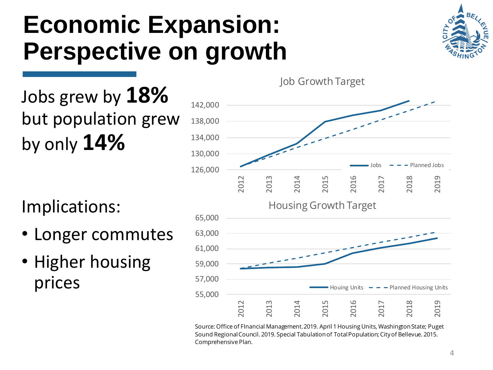#### **Economic Expansion: Perspective on growth**



Jobs grew by **18%**  but population grew by only **14%**

Implications:

- Longer commutes
- Higher housing prices



Source: Office of FInancial Management. 2019. April 1 Housing Units, Washington State; Puget Sound Regional Council. 2019. Special Tabulation of Total Population; City of Bellevue. 2015. Comprehensive Plan.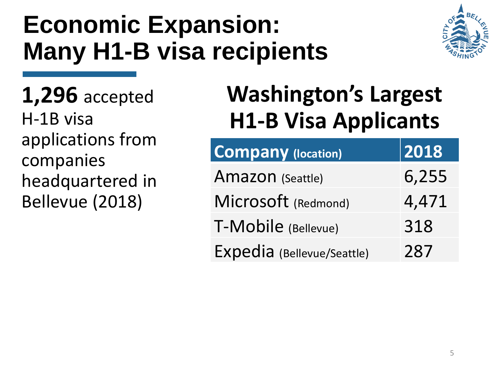### **Economic Expansion: Many H1-B visa recipients**



**1,296** accepted H-1B visa applications from companies headquartered in Bellevue (2018)

#### **Washington's Largest H1-B Visa Applicants**

| <b>Company (location)</b>  | 2018  |
|----------------------------|-------|
| Amazon (Seattle)           | 6,255 |
| Microsoft (Redmond)        | 4,471 |
| T-Mobile (Bellevue)        | 318   |
| Expedia (Bellevue/Seattle) | 287   |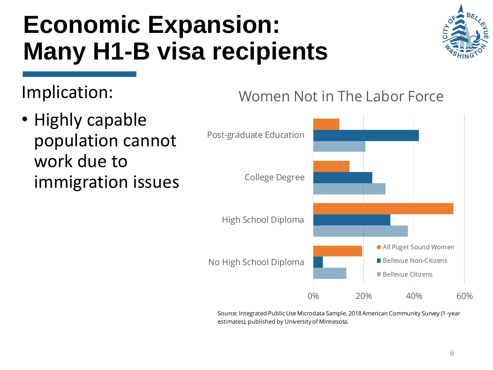#### **Economic Expansion: Many H1-B visa recipients**



Implication:

• Highly capable population cannot work due to immigration issues





Source: Integrated Public Use Microdata Sample. 2018 American Community Survey (1-year estimates), published by University of Minnesota.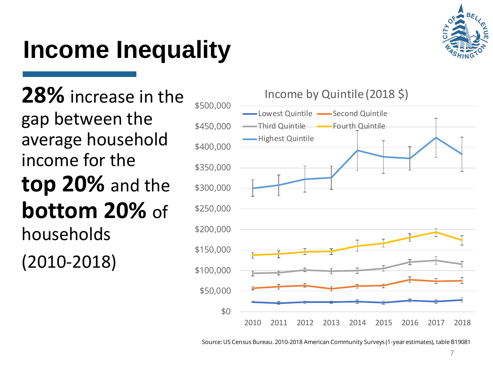### **Income Inequality**



**28%** increase in the gap between the average household income for the **top 20%** and the **bottom 20%** of households (2010 -2018)



Source: US Census Bureau. 2010-2018 American Community Surveys (1-year estimates), table B19081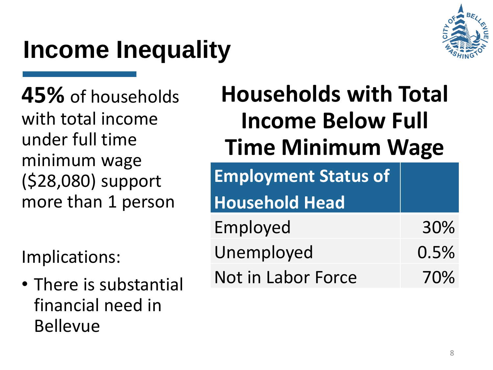## **Income Inequality**



**45%** of households with total income under full time minimum wage (\$28,080) support more than 1 person

Implications:

• There is substantial financial need in Bellevue

#### **Households with Total Income Below Full Time Minimum Wage**

**Employment Status of** 

#### **Household Head**

- Employed 30% Unemployed 0.5%
- Not in Labor Force 70%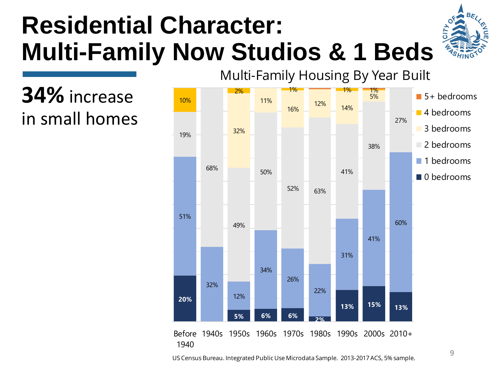### **Residential Character: Multi-Family Now Studios & 1 Beds**

**34%** increase in small homes



US Census Bureau. Integrated Public Use Microdata Sample. 2013-2017 ACS, 5% sample.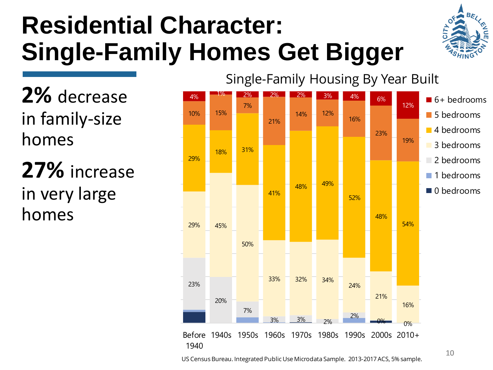### **Residential Character: Single-Family Homes Get Bigger**

**2%** decrease in family-size homes

**27%** increase in very large homes



US Census Bureau. Integrated Public Use Microdata Sample. 2013-2017 ACS, 5% sample.